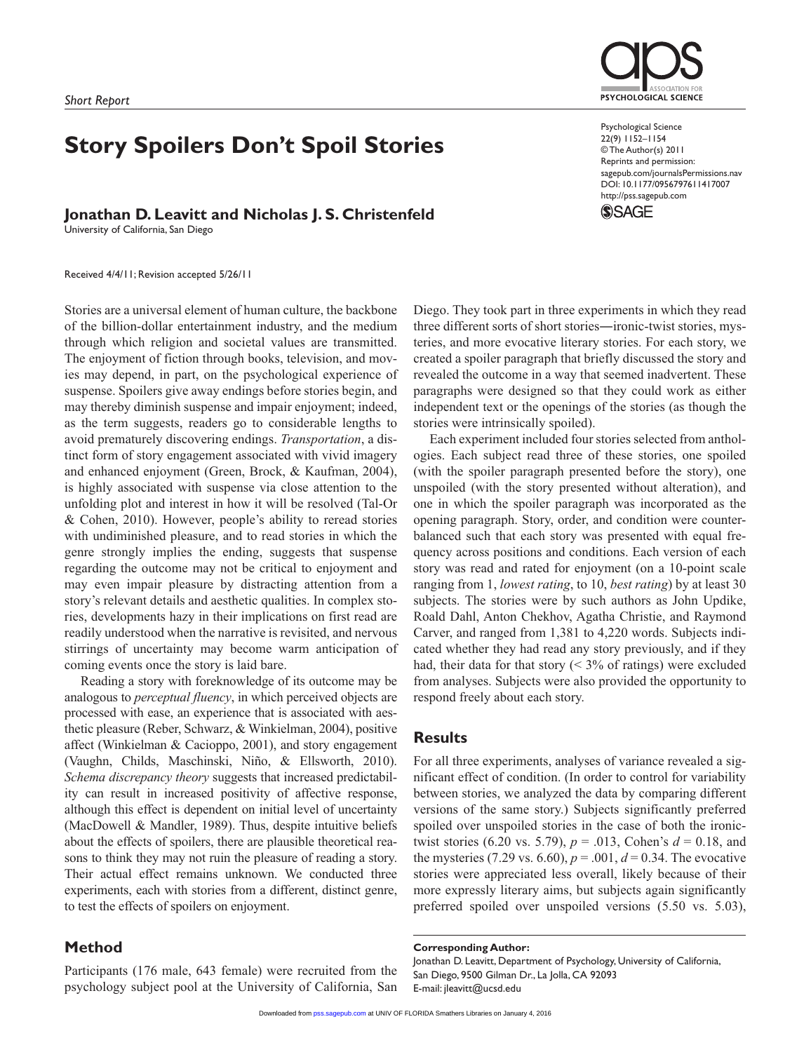

# **Story Spoilers Don't Spoil Stories**

### **Jonathan D. Leavitt and Nicholas J. S. Christenfeld**

University of California, San Diego

Received 4/4/11; Revision accepted 5/26/11

Stories are a universal element of human culture, the backbone of the billion-dollar entertainment industry, and the medium through which religion and societal values are transmitted. The enjoyment of fiction through books, television, and movies may depend, in part, on the psychological experience of suspense. Spoilers give away endings before stories begin, and may thereby diminish suspense and impair enjoyment; indeed, as the term suggests, readers go to considerable lengths to avoid prematurely discovering endings. *Transportation*, a distinct form of story engagement associated with vivid imagery and enhanced enjoyment (Green, Brock, & Kaufman, 2004), is highly associated with suspense via close attention to the unfolding plot and interest in how it will be resolved (Tal-Or & Cohen, 2010). However, people's ability to reread stories with undiminished pleasure, and to read stories in which the genre strongly implies the ending, suggests that suspense regarding the outcome may not be critical to enjoyment and may even impair pleasure by distracting attention from a story's relevant details and aesthetic qualities. In complex stories, developments hazy in their implications on first read are readily understood when the narrative is revisited, and nervous stirrings of uncertainty may become warm anticipation of coming events once the story is laid bare.

Reading a story with foreknowledge of its outcome may be analogous to *perceptual fluency*, in which perceived objects are processed with ease, an experience that is associated with aesthetic pleasure (Reber, Schwarz, & Winkielman, 2004), positive affect (Winkielman & Cacioppo, 2001), and story engagement (Vaughn, Childs, Maschinski, Niño, & Ellsworth, 2010). *Schema discrepancy theory* suggests that increased predictability can result in increased positivity of affective response, although this effect is dependent on initial level of uncertainty (MacDowell & Mandler, 1989). Thus, despite intuitive beliefs about the effects of spoilers, there are plausible theoretical reasons to think they may not ruin the pleasure of reading a story. Their actual effect remains unknown. We conducted three experiments, each with stories from a different, distinct genre, to test the effects of spoilers on enjoyment.

Diego. They took part in three experiments in which they read three different sorts of short stories―ironic-twist stories, mysteries, and more evocative literary stories. For each story, we created a spoiler paragraph that briefly discussed the story and revealed the outcome in a way that seemed inadvertent. These paragraphs were designed so that they could work as either independent text or the openings of the stories (as though the stories were intrinsically spoiled).

Each experiment included four stories selected from anthologies. Each subject read three of these stories, one spoiled (with the spoiler paragraph presented before the story), one unspoiled (with the story presented without alteration), and one in which the spoiler paragraph was incorporated as the opening paragraph. Story, order, and condition were counterbalanced such that each story was presented with equal frequency across positions and conditions. Each version of each story was read and rated for enjoyment (on a 10-point scale ranging from 1, *lowest rating*, to 10, *best rating*) by at least 30 subjects. The stories were by such authors as John Updike, Roald Dahl, Anton Chekhov, Agatha Christie, and Raymond Carver, and ranged from 1,381 to 4,220 words. Subjects indicated whether they had read any story previously, and if they had, their data for that story  $($  < 3% of ratings) were excluded from analyses. Subjects were also provided the opportunity to respond freely about each story.

# **Results**

For all three experiments, analyses of variance revealed a significant effect of condition. (In order to control for variability between stories, we analyzed the data by comparing different versions of the same story.) Subjects significantly preferred spoiled over unspoiled stories in the case of both the ironictwist stories (6.20 vs. 5.79),  $p = .013$ , Cohen's  $d = 0.18$ , and the mysteries (7.29 vs. 6.60),  $p = .001$ ,  $d = 0.34$ . The evocative stories were appreciated less overall, likely because of their more expressly literary aims, but subjects again significantly preferred spoiled over unspoiled versions (5.50 vs. 5.03),

# **Method**

Participants (176 male, 643 female) were recruited from the psychology subject pool at the University of California, San **Corresponding Author:**

Psychological Science 22(9) 1152–1154 © The Author(s) 2011 Reprints and permission: sagepub.com/journalsPermissions.nav DOI: 10.1177/0956797611417007 http://pss.sagepub.com



Jonathan D. Leavitt, Department of Psychology, University of California, San Diego, 9500 Gilman Dr., La Jolla, CA 92093 E-mail: jleavitt@ucsd.edu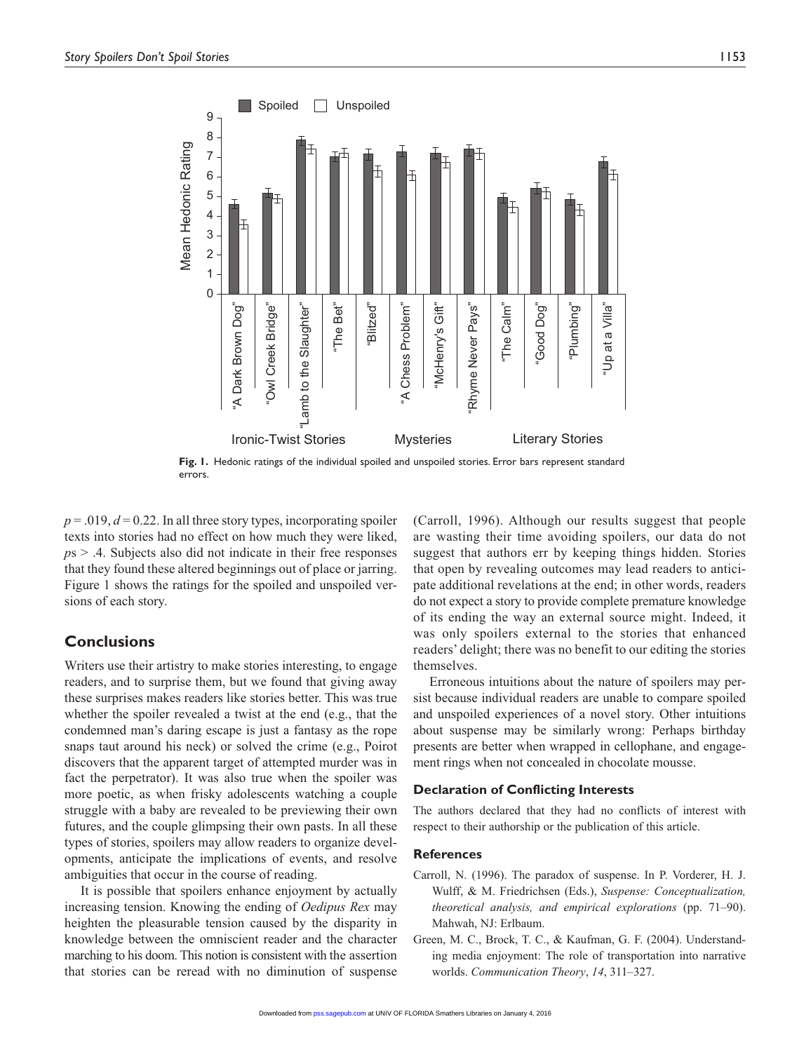

**Fig. 1.** Hedonic ratings of the individual spoiled and unspoiled stories. Error bars represent standard errors.

 $p = .019$ ,  $d = 0.22$ . In all three story types, incorporating spoiler texts into stories had no effect on how much they were liked, *p*s > .4. Subjects also did not indicate in their free responses that they found these altered beginnings out of place or jarring. Figure 1 shows the ratings for the spoiled and unspoiled versions of each story.

#### **Conclusions**

Writers use their artistry to make stories interesting, to engage readers, and to surprise them, but we found that giving away these surprises makes readers like stories better. This was true whether the spoiler revealed a twist at the end (e.g., that the condemned man's daring escape is just a fantasy as the rope snaps taut around his neck) or solved the crime (e.g., Poirot discovers that the apparent target of attempted murder was in fact the perpetrator). It was also true when the spoiler was more poetic, as when frisky adolescents watching a couple struggle with a baby are revealed to be previewing their own futures, and the couple glimpsing their own pasts. In all these types of stories, spoilers may allow readers to organize developments, anticipate the implications of events, and resolve ambiguities that occur in the course of reading.

It is possible that spoilers enhance enjoyment by actually increasing tension. Knowing the ending of *Oedipus Rex* may heighten the pleasurable tension caused by the disparity in knowledge between the omniscient reader and the character marching to his doom. This notion is consistent with the assertion that stories can be reread with no diminution of suspense

(Carroll, 1996). Although our results suggest that people are wasting their time avoiding spoilers, our data do not suggest that authors err by keeping things hidden. Stories that open by revealing outcomes may lead readers to anticipate additional revelations at the end; in other words, readers do not expect a story to provide complete premature knowledge of its ending the way an external source might. Indeed, it was only spoilers external to the stories that enhanced readers' delight; there was no benefit to our editing the stories themselves.

Erroneous intuitions about the nature of spoilers may persist because individual readers are unable to compare spoiled and unspoiled experiences of a novel story. Other intuitions about suspense may be similarly wrong: Perhaps birthday presents are better when wrapped in cellophane, and engagement rings when not concealed in chocolate mousse.

#### **Declaration of Conflicting Interests**

The authors declared that they had no conflicts of interest with respect to their authorship or the publication of this article.

#### **References**

- Carroll, N. (1996). The paradox of suspense. In P. Vorderer, H. J. Wulff, & M. Friedrichsen (Eds.), *Suspense: Conceptualization, theoretical analysis, and empirical explorations* (pp. 71–90). Mahwah, NJ: Erlbaum.
- Green, M. C., Brock, T. C., & Kaufman, G. F. (2004). Understanding media enjoyment: The role of transportation into narrative worlds. *Communication Theory*, *14*, 311–327.